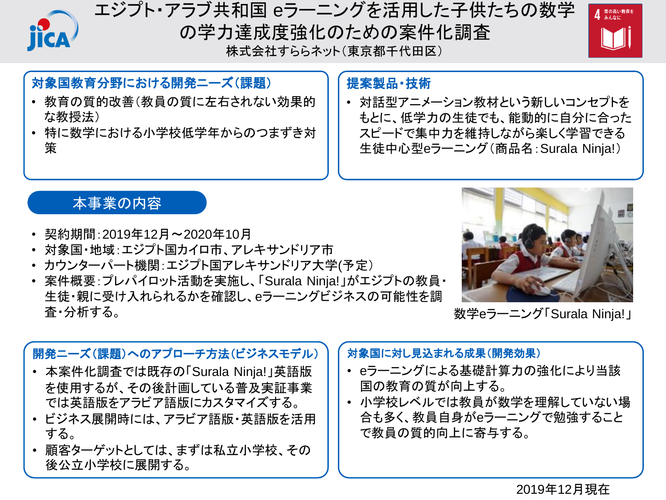

# エジプト・アラブ共和国 eラーニングを活用した子供たちの数学 の学力達成度強化のための案件化調査 株式会社すららネット(東京都千代田区)



## 対象国教育分野における開発ニーズ(課題)

- 教育の質的改善(教員の質に左右されない効果的 な教授法)
- 特に数学における小学校低学年からのつまずき対 策

### 提案製品・技術

• 対話型アニメーション教材という新しいコンセプトを もとに、低学力の生徒でも、能動的に自分に合った スピードで集中力を維持しながら楽しく学習できる 生徒中心型eラーニング(商品名:Surala Ninja!)

## 本事業の内容

- 契約期間:2019年12月~2020年10月
- 対象国・地域:エジプト国カイロ市、アレキサンドリア市
- カウンターパート機関:エジプト国アレキサンドリア大学(予定)
- 案件概要:プレパイロット活動を実施し、「Surala Ninja!」がエジプトの教員・ 生徒・親に受け入れられるかを確認し、eラーニングビジネスの可能性を調 査・分析する。



数学eラーニング「Surala Ninja!」

### 開発ニーズ(課題)へのアプローチ方法(ビジネスモデル)

- 本案件化調査では既存の「Surala Ninja!」英語版 を使用するが、その後計画している普及実証事業 では英語版をアラビア語版にカスタマイズする。
- ビジネス展開時には、アラビア語版・英語版を活用 する。
- 顧客ターゲットとしては、まずは私立小学校、その 後公立小学校に展開する。

### 対象国に対し見込まれる成果(開発効果)

- eラーニングによる基礎計算力の強化により当該 国の教育の質が向上する。
- 小学校レベルでは教員が数学を理解していない場 合も多く、教員自身がeラーニングで勉強すること で教員の質的向上に寄与する。